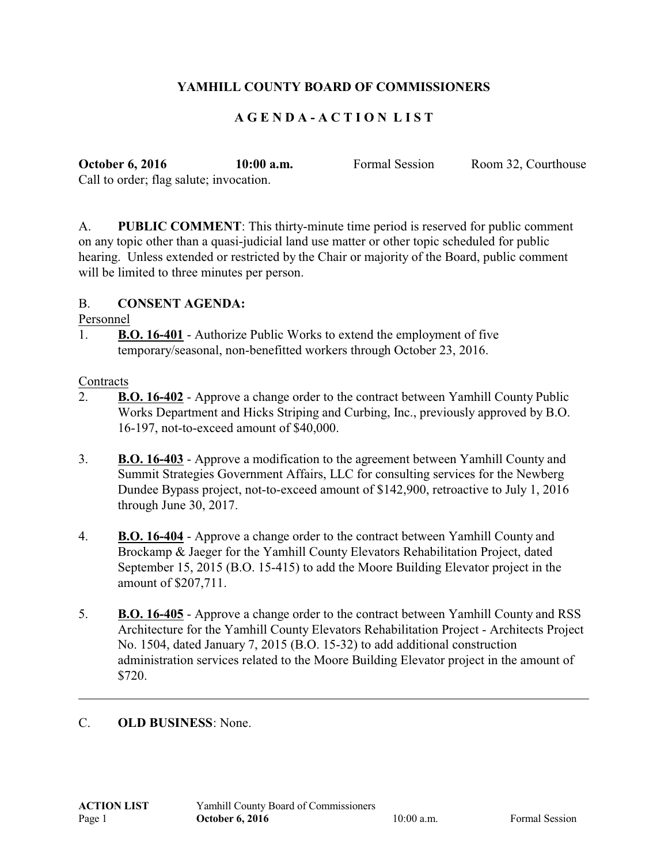# **YAMHILL COUNTY BOARD OF COMMISSIONERS**

## **A G E N D A - A C T I O N L I S T**

**October 6, 2016 10:00 a.m.** Formal Session Room 32, Courthouse Call to order; flag salute; invocation.

A. **PUBLIC COMMENT**: This thirty-minute time period is reserved for public comment on any topic other than a quasi-judicial land use matter or other topic scheduled for public hearing. Unless extended or restricted by the Chair or majority of the Board, public comment will be limited to three minutes per person.

#### B. **CONSENT AGENDA:**

Personnel

1. **B.O. 16-401** - Authorize Public Works to extend the employment of five temporary/seasonal, non-benefitted workers through October 23, 2016.

#### **Contracts**

- 2. **B.O. 16-402** Approve a change order to the contract between Yamhill County Public Works Department and Hicks Striping and Curbing, Inc., previously approved by B.O. 16-197, not-to-exceed amount of \$40,000.
- 3. **B.O. 16-403** Approve a modification to the agreement between Yamhill County and Summit Strategies Government Affairs, LLC for consulting services for the Newberg Dundee Bypass project, not-to-exceed amount of \$142,900, retroactive to July 1, 2016 through June 30, 2017.
- 4. **B.O. 16-404** Approve a change order to the contract between Yamhill County and Brockamp & Jaeger for the Yamhill County Elevators Rehabilitation Project, dated September 15, 2015 (B.O. 15-415) to add the Moore Building Elevator project in the amount of \$207,711.
- 5. **B.O. 16-405** Approve a change order to the contract between Yamhill County and RSS Architecture for the Yamhill County Elevators Rehabilitation Project - Architects Project No. 1504, dated January 7, 2015 (B.O. 15-32) to add additional construction administration services related to the Moore Building Elevator project in the amount of \$720.

## C. **OLD BUSINESS**: None.